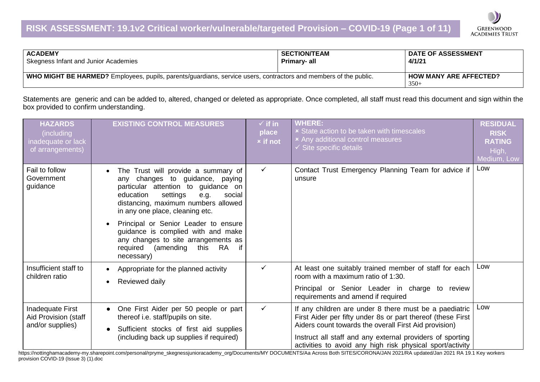

| <b>ACADEMY</b>                                                                                                   | <b>SECTION/TEAM</b> | <b>DATE OF ASSESSMENT</b>               |
|------------------------------------------------------------------------------------------------------------------|---------------------|-----------------------------------------|
| Skegness Infant and Junior Academies                                                                             | Primary- all        | 4/1/21                                  |
| WHO MIGHT BE HARMED? Employees, pupils, parents/guardians, service users, contractors and members of the public. |                     | <b>HOW MANY ARE AFFECTED?</b><br>$350+$ |

Statements are generic and can be added to, altered, changed or deleted as appropriate. Once completed, all staff must read this document and sign within the box provided to confirm understanding.

| <b>HAZARDS</b><br>(including<br>inadequate or lack<br>of arrangements) | <b>EXISTING CONTROL MEASURES</b>                                                                                                                                                                                                                                                                                                                                                                       | $\checkmark$ if in<br>place<br><b>x</b> if not | <b>WHERE:</b><br><b>x</b> State action to be taken with timescales<br>× Any additional control measures<br>$\checkmark$ Site specific details                                                                                                                                                            | <b>RESIDUAL</b><br><b>RISK</b><br><b>RATING</b><br>High,<br>Medium, Low |
|------------------------------------------------------------------------|--------------------------------------------------------------------------------------------------------------------------------------------------------------------------------------------------------------------------------------------------------------------------------------------------------------------------------------------------------------------------------------------------------|------------------------------------------------|----------------------------------------------------------------------------------------------------------------------------------------------------------------------------------------------------------------------------------------------------------------------------------------------------------|-------------------------------------------------------------------------|
| Fail to follow<br>Government<br>guidance                               | The Trust will provide a summary of<br>any changes to guidance, paying<br>particular attention to guidance on<br>education<br>settings<br>e.g.<br>social<br>distancing, maximum numbers allowed<br>in any one place, cleaning etc.<br>Principal or Senior Leader to ensure<br>guidance is complied with and make<br>any changes to site arrangements as<br>(amending this RA<br>required<br>necessary) | ✓                                              | Contact Trust Emergency Planning Team for advice if<br>unsure                                                                                                                                                                                                                                            | Low                                                                     |
| Insufficient staff to<br>children ratio                                | Appropriate for the planned activity<br>$\bullet$<br>Reviewed daily                                                                                                                                                                                                                                                                                                                                    | ✓                                              | At least one suitably trained member of staff for each<br>room with a maximum ratio of 1:30.<br>Principal or Senior Leader in charge to review<br>requirements and amend if required                                                                                                                     | Low                                                                     |
| Inadequate First<br>Aid Provision (staff<br>and/or supplies)           | One First Aider per 50 people or part<br>thereof i.e. staff/pupils on site.<br>Sufficient stocks of first aid supplies<br>(including back up supplies if required)                                                                                                                                                                                                                                     | $\checkmark$                                   | If any children are under 8 there must be a paediatric<br>First Aider per fifty under 8s or part thereof (these First<br>Aiders count towards the overall First Aid provision)<br>Instruct all staff and any external providers of sporting<br>activities to avoid any high risk physical sport/activity | Low                                                                     |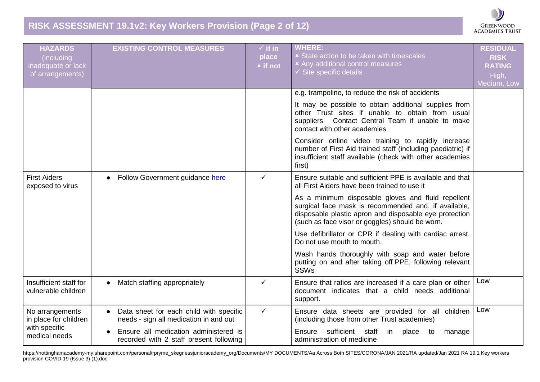# **RISK ASSESSMENT 19.1v2: Key Workers Provision (Page 2 of 12)**



| <b>HAZARDS</b><br>(including<br>inadequate or lack<br>of arrangements) | <b>EXISTING CONTROL MEASURES</b>                                                  | $\checkmark$ if in<br>place<br><b>x</b> if not | <b>WHERE:</b><br><b>x</b> State action to be taken with timescales<br><b>*</b> Any additional control measures<br>$\checkmark$ Site specific details                                                                    | <b>RESIDUAL</b><br><b>RISK</b><br><b>RATING</b><br>High,<br>Medium, Low |
|------------------------------------------------------------------------|-----------------------------------------------------------------------------------|------------------------------------------------|-------------------------------------------------------------------------------------------------------------------------------------------------------------------------------------------------------------------------|-------------------------------------------------------------------------|
|                                                                        |                                                                                   |                                                | e.g. trampoline, to reduce the risk of accidents                                                                                                                                                                        |                                                                         |
|                                                                        |                                                                                   |                                                | It may be possible to obtain additional supplies from<br>other Trust sites if unable to obtain from usual<br>suppliers. Contact Central Team if unable to make<br>contact with other academies                          |                                                                         |
|                                                                        |                                                                                   |                                                | Consider online video training to rapidly increase<br>number of First Aid trained staff (including paediatric) if<br>insufficient staff available (check with other academies<br>first)                                 |                                                                         |
| <b>First Aiders</b><br>exposed to virus                                | Follow Government guidance here                                                   | $\checkmark$                                   | Ensure suitable and sufficient PPE is available and that<br>all First Aiders have been trained to use it                                                                                                                |                                                                         |
|                                                                        |                                                                                   |                                                | As a minimum disposable gloves and fluid repellent<br>surgical face mask is recommended and, if available,<br>disposable plastic apron and disposable eye protection<br>(such as face visor or goggles) should be worn. |                                                                         |
|                                                                        |                                                                                   |                                                | Use defibrillator or CPR if dealing with cardiac arrest.<br>Do not use mouth to mouth.                                                                                                                                  |                                                                         |
|                                                                        |                                                                                   |                                                | Wash hands thoroughly with soap and water before<br>putting on and after taking off PPE, following relevant<br><b>SSWs</b>                                                                                              |                                                                         |
| Insufficient staff for<br>vulnerable children                          | Match staffing appropriately<br>$\bullet$                                         | ✓                                              | Ensure that ratios are increased if a care plan or other<br>document indicates that a child needs additional<br>support.                                                                                                | Low                                                                     |
| No arrangements<br>in place for children                               | Data sheet for each child with specific<br>needs - sign all medication in and out | $\checkmark$                                   | Ensure data sheets are provided for all children<br>(including those from other Trust academies)                                                                                                                        | Low                                                                     |
| with specific<br>medical needs                                         | Ensure all medication administered is<br>recorded with 2 staff present following  |                                                | Ensure sufficient staff<br>in<br>place to<br>manage<br>administration of medicine                                                                                                                                       |                                                                         |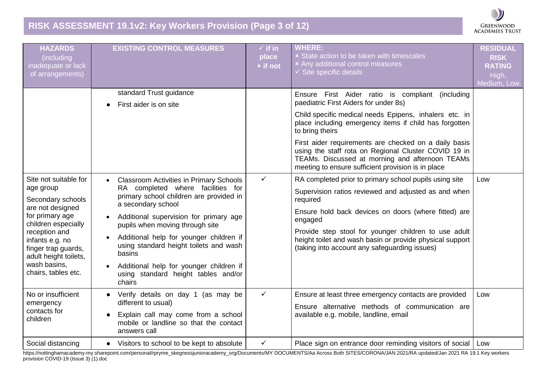# **RISK ASSESSMENT 19.1v2: Key Workers Provision (Page 3 of 12)**



| <b>HAZARDS</b><br>(including<br>inadequate or lack<br>of arrangements)                                                                                                                                                                           | <b>EXISTING CONTROL MEASURES</b>                                                                                                                                                                                                                                                                                                                                                                                                                                    | $\checkmark$ if in<br>place<br><b>x</b> if not | <b>WHERE:</b><br><b>x</b> State action to be taken with timescales<br>× Any additional control measures<br>$\checkmark$ Site specific details                                                                                                                                                                                                                                                                                                              | <b>RESIDUAL</b><br><b>RISK</b><br><b>RATING</b><br>High,<br>Medium, Low |
|--------------------------------------------------------------------------------------------------------------------------------------------------------------------------------------------------------------------------------------------------|---------------------------------------------------------------------------------------------------------------------------------------------------------------------------------------------------------------------------------------------------------------------------------------------------------------------------------------------------------------------------------------------------------------------------------------------------------------------|------------------------------------------------|------------------------------------------------------------------------------------------------------------------------------------------------------------------------------------------------------------------------------------------------------------------------------------------------------------------------------------------------------------------------------------------------------------------------------------------------------------|-------------------------------------------------------------------------|
|                                                                                                                                                                                                                                                  | standard Trust guidance<br>First aider is on site                                                                                                                                                                                                                                                                                                                                                                                                                   |                                                | Ensure First Aider ratio is compliant (including<br>paediatric First Aiders for under 8s)<br>Child specific medical needs Epipens, inhalers etc. in<br>place including emergency items if child has forgotten<br>to bring theirs<br>First aider requirements are checked on a daily basis<br>using the staff rota on Regional Cluster COVID 19 in<br>TEAMs. Discussed at morning and afternoon TEAMs<br>meeting to ensure sufficient provision is in place |                                                                         |
| Site not suitable for<br>age group<br>Secondary schools<br>are not designed<br>for primary age<br>children especially<br>reception and<br>infants e.g. no<br>finger trap guards,<br>adult height toilets,<br>wash basins,<br>chairs, tables etc. | <b>Classroom Activities in Primary Schools</b><br>$\bullet$<br>RA completed where facilities for<br>primary school children are provided in<br>a secondary school<br>Additional supervision for primary age<br>$\bullet$<br>pupils when moving through site<br>Additional help for younger children if<br>$\bullet$<br>using standard height toilets and wash<br>basins<br>Additional help for younger children if<br>using standard height tables and/or<br>chairs | $\checkmark$                                   | RA completed prior to primary school pupils using site<br>Supervision ratios reviewed and adjusted as and when<br>required<br>Ensure hold back devices on doors (where fitted) are<br>engaged<br>Provide step stool for younger children to use adult<br>height toilet and wash basin or provide physical support<br>(taking into account any safeguarding issues)                                                                                         | Low                                                                     |
| No or insufficient<br>emergency<br>contacts for<br>children                                                                                                                                                                                      | Verify details on day 1 (as may be<br>different to usual)<br>Explain call may come from a school<br>mobile or landline so that the contact<br>answers call                                                                                                                                                                                                                                                                                                          | $\checkmark$                                   | Ensure at least three emergency contacts are provided<br>Ensure alternative methods of communication are<br>available e.g. mobile, landline, email                                                                                                                                                                                                                                                                                                         | Low                                                                     |
| Social distancing                                                                                                                                                                                                                                | Visitors to school to be kept to absolute<br>$\bullet$                                                                                                                                                                                                                                                                                                                                                                                                              | $\checkmark$                                   | Place sign on entrance door reminding visitors of social                                                                                                                                                                                                                                                                                                                                                                                                   | Low                                                                     |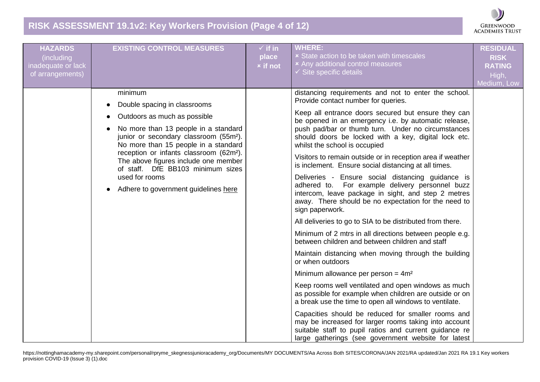# **RISK ASSESSMENT 19.1v2: Key Workers Provision (Page 4 of 12)**



| <b>HAZARDS</b><br>(including<br>inadequate or lack<br>of arrangements) | <b>EXISTING CONTROL MEASURES</b>                                                                                                                                                                                                                                                                                                                                                                            | $\checkmark$ if in<br>place<br><b>x</b> if not | <b>WHERE:</b><br><b>x</b> State action to be taken with timescales<br><b>*</b> Any additional control measures<br>$\checkmark$ Site specific details                                                                                                                                                                                                                                                                                                                                                                                                                                                                                                                                                                                                                                                                                                                                                                                                                                                                                                                                                                                                                                                                                                                                                                                                                                                                                  | <b>RESIDUAL</b><br><b>RISK</b><br><b>RATING</b><br>High,<br>Medium, Low |
|------------------------------------------------------------------------|-------------------------------------------------------------------------------------------------------------------------------------------------------------------------------------------------------------------------------------------------------------------------------------------------------------------------------------------------------------------------------------------------------------|------------------------------------------------|---------------------------------------------------------------------------------------------------------------------------------------------------------------------------------------------------------------------------------------------------------------------------------------------------------------------------------------------------------------------------------------------------------------------------------------------------------------------------------------------------------------------------------------------------------------------------------------------------------------------------------------------------------------------------------------------------------------------------------------------------------------------------------------------------------------------------------------------------------------------------------------------------------------------------------------------------------------------------------------------------------------------------------------------------------------------------------------------------------------------------------------------------------------------------------------------------------------------------------------------------------------------------------------------------------------------------------------------------------------------------------------------------------------------------------------|-------------------------------------------------------------------------|
|                                                                        | minimum<br>Double spacing in classrooms<br>Outdoors as much as possible<br>No more than 13 people in a standard<br>junior or secondary classroom (55m <sup>2</sup> ).<br>No more than 15 people in a standard<br>reception or infants classroom (62m <sup>2</sup> ).<br>The above figures include one member<br>of staff. DfE BB103 minimum sizes<br>used for rooms<br>Adhere to government guidelines here |                                                | distancing requirements and not to enter the school.<br>Provide contact number for queries.<br>Keep all entrance doors secured but ensure they can<br>be opened in an emergency i.e. by automatic release,<br>push pad/bar or thumb turn. Under no circumstances<br>should doors be locked with a key, digital lock etc.<br>whilst the school is occupied<br>Visitors to remain outside or in reception area if weather<br>is inclement. Ensure social distancing at all times.<br>Deliveries - Ensure social distancing guidance is<br>adhered to. For example delivery personnel buzz<br>intercom, leave package in sight, and step 2 metres<br>away. There should be no expectation for the need to<br>sign paperwork.<br>All deliveries to go to SIA to be distributed from there.<br>Minimum of 2 mtrs in all directions between people e.g.<br>between children and between children and staff<br>Maintain distancing when moving through the building<br>or when outdoors<br>Minimum allowance per person = $4m^2$<br>Keep rooms well ventilated and open windows as much<br>as possible for example when children are outside or on<br>a break use the time to open all windows to ventilate.<br>Capacities should be reduced for smaller rooms and<br>may be increased for larger rooms taking into account<br>suitable staff to pupil ratios and current guidance re<br>large gatherings (see government website for latest |                                                                         |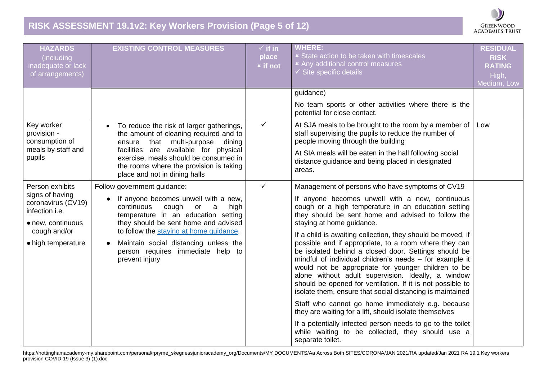# **RISK ASSESSMENT 19.1v2: Key Workers Provision (Page 5 of 12)**



| <b>HAZARDS</b><br>(including<br>inadequate or lack<br>of arrangements)       | <b>EXISTING CONTROL MEASURES</b>                                                                                                                                           | $\checkmark$ if in<br>place<br><b>x</b> if not | <b>WHERE:</b><br><b>x</b> State action to be taken with timescales<br><b>*</b> Any additional control measures<br>$\checkmark$ Site specific details                                                                                                                                                                                                                                                                                                                            | <b>RESIDUAL</b><br><b>RISK</b><br><b>RATING</b><br>High,<br>Medium, Low |
|------------------------------------------------------------------------------|----------------------------------------------------------------------------------------------------------------------------------------------------------------------------|------------------------------------------------|---------------------------------------------------------------------------------------------------------------------------------------------------------------------------------------------------------------------------------------------------------------------------------------------------------------------------------------------------------------------------------------------------------------------------------------------------------------------------------|-------------------------------------------------------------------------|
|                                                                              |                                                                                                                                                                            |                                                | guidance)                                                                                                                                                                                                                                                                                                                                                                                                                                                                       |                                                                         |
|                                                                              |                                                                                                                                                                            |                                                | No team sports or other activities where there is the<br>potential for close contact.                                                                                                                                                                                                                                                                                                                                                                                           |                                                                         |
| Key worker<br>provision -<br>consumption of                                  | To reduce the risk of larger gatherings,<br>the amount of cleaning required and to<br>that multi-purpose<br>ensure<br>dining                                               | $\checkmark$                                   | At SJA meals to be brought to the room by a member of<br>staff supervising the pupils to reduce the number of<br>people moving through the building                                                                                                                                                                                                                                                                                                                             | Low                                                                     |
| meals by staff and<br>pupils                                                 | facilities are available for physical<br>exercise, meals should be consumed in<br>the rooms where the provision is taking<br>place and not in dining halls                 |                                                | At SIA meals will be eaten in the hall following social<br>distance guidance and being placed in designated<br>areas.                                                                                                                                                                                                                                                                                                                                                           |                                                                         |
| Person exhibits                                                              | Follow government guidance:                                                                                                                                                | $\checkmark$                                   | Management of persons who have symptoms of CV19                                                                                                                                                                                                                                                                                                                                                                                                                                 |                                                                         |
| signs of having<br>coronavirus (CV19)<br>infection i.e.<br>• new, continuous | If anyone becomes unwell with a new,<br>$\bullet$<br>continuous<br>cough<br>high<br>or<br>a<br>temperature in an education setting<br>they should be sent home and advised |                                                | If anyone becomes unwell with a new, continuous<br>cough or a high temperature in an education setting<br>they should be sent home and advised to follow the<br>staying at home guidance.                                                                                                                                                                                                                                                                                       |                                                                         |
| cough and/or<br>• high temperature                                           | to follow the staying at home guidance.<br>Maintain social distancing unless the<br>person requires immediate help to<br>prevent injury                                    |                                                | If a child is awaiting collection, they should be moved, if<br>possible and if appropriate, to a room where they can<br>be isolated behind a closed door. Settings should be<br>mindful of individual children's needs - for example it<br>would not be appropriate for younger children to be<br>alone without adult supervision. Ideally, a window<br>should be opened for ventilation. If it is not possible to<br>isolate them, ensure that social distancing is maintained |                                                                         |
|                                                                              |                                                                                                                                                                            |                                                | Staff who cannot go home immediately e.g. because<br>they are waiting for a lift, should isolate themselves                                                                                                                                                                                                                                                                                                                                                                     |                                                                         |
|                                                                              |                                                                                                                                                                            |                                                | If a potentially infected person needs to go to the toilet<br>while waiting to be collected, they should use a<br>separate toilet.                                                                                                                                                                                                                                                                                                                                              |                                                                         |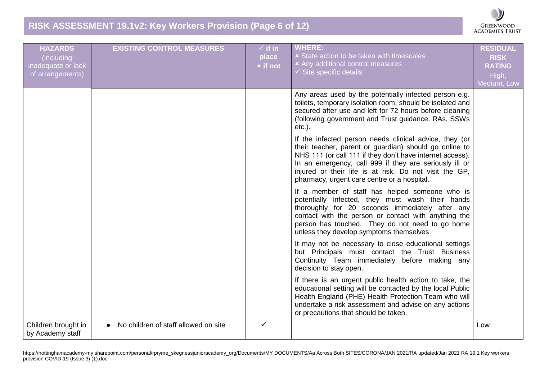### **RISK ASSESSMENT 19.1v2: Key Workers Provision (Page 6 of 12)**



| <b>HAZARDS</b><br>(including<br>inadequate or lack<br>of arrangements) | <b>EXISTING CONTROL MEASURES</b>                  | $\checkmark$ if in<br>place<br><b>x</b> if not | <b>WHERE:</b><br><b>× State action to be taken with timescales</b><br>× Any additional control measures<br>$\checkmark$ Site specific details                                                                                                                                                                                                    | <b>RESIDUAL</b><br><b>RISK</b><br><b>RATING</b><br>High,<br>Medium, Low |
|------------------------------------------------------------------------|---------------------------------------------------|------------------------------------------------|--------------------------------------------------------------------------------------------------------------------------------------------------------------------------------------------------------------------------------------------------------------------------------------------------------------------------------------------------|-------------------------------------------------------------------------|
|                                                                        |                                                   |                                                | Any areas used by the potentially infected person e.g.<br>toilets, temporary isolation room, should be isolated and<br>secured after use and left for 72 hours before cleaning<br>(following government and Trust guidance, RAs, SSWs<br>$etc.$ ).                                                                                               |                                                                         |
|                                                                        |                                                   |                                                | If the infected person needs clinical advice, they (or<br>their teacher, parent or guardian) should go online to<br>NHS 111 (or call 111 if they don't have internet access).<br>In an emergency, call 999 if they are seriously ill or<br>injured or their life is at risk. Do not visit the GP,<br>pharmacy, urgent care centre or a hospital. |                                                                         |
|                                                                        |                                                   |                                                | If a member of staff has helped someone who is<br>potentially infected, they must wash their hands<br>thoroughly for 20 seconds immediately after any<br>contact with the person or contact with anything the<br>person has touched. They do not need to go home<br>unless they develop symptoms themselves                                      |                                                                         |
|                                                                        |                                                   |                                                | It may not be necessary to close educational settings<br>but Principals must contact the Trust Business<br>Continuity Team immediately before making any<br>decision to stay open.                                                                                                                                                               |                                                                         |
|                                                                        |                                                   |                                                | If there is an urgent public health action to take, the<br>educational setting will be contacted by the local Public<br>Health England (PHE) Health Protection Team who will<br>undertake a risk assessment and advise on any actions<br>or precautions that should be taken.                                                                    |                                                                         |
| Children brought in<br>by Academy staff                                | No children of staff allowed on site<br>$\bullet$ | ✓                                              |                                                                                                                                                                                                                                                                                                                                                  | Low                                                                     |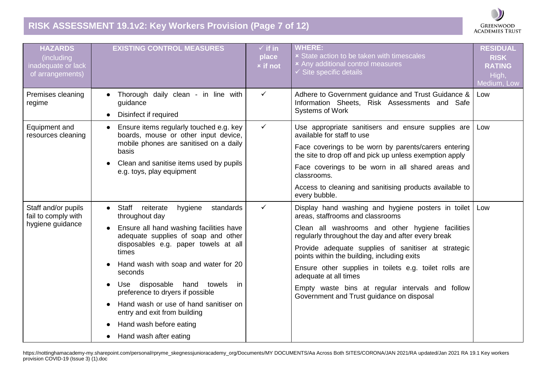# **RISK ASSESSMENT 19.1v2: Key Workers Provision (Page 7 of 12)**



| <b>HAZARDS</b><br>(including<br>inadequate or lack<br>of arrangements) | <b>EXISTING CONTROL MEASURES</b>                                                                                                                                                                                                                                                                                                                                                                                                                                                                             | $\checkmark$ if in<br>place<br><b>x</b> if not | <b>WHERE:</b><br><b>x</b> State action to be taken with timescales<br>× Any additional control measures<br>$\checkmark$ Site specific details                                                                                                                                                                                                                                                                                                                                              | <b>RESIDUAL</b><br><b>RISK</b><br><b>RATING</b><br>High,<br>Medium, Low |
|------------------------------------------------------------------------|--------------------------------------------------------------------------------------------------------------------------------------------------------------------------------------------------------------------------------------------------------------------------------------------------------------------------------------------------------------------------------------------------------------------------------------------------------------------------------------------------------------|------------------------------------------------|--------------------------------------------------------------------------------------------------------------------------------------------------------------------------------------------------------------------------------------------------------------------------------------------------------------------------------------------------------------------------------------------------------------------------------------------------------------------------------------------|-------------------------------------------------------------------------|
| Premises cleaning<br>regime                                            | Thorough daily clean - in line with<br>guidance<br>Disinfect if required<br>$\bullet$                                                                                                                                                                                                                                                                                                                                                                                                                        | $\checkmark$                                   | Adhere to Government guidance and Trust Guidance &<br>Information Sheets, Risk Assessments and Safe<br>Systems of Work                                                                                                                                                                                                                                                                                                                                                                     | Low                                                                     |
| Equipment and<br>resources cleaning                                    | Ensure items regularly touched e.g. key<br>$\bullet$<br>boards, mouse or other input device,<br>mobile phones are sanitised on a daily<br>basis<br>Clean and sanitise items used by pupils<br>e.g. toys, play equipment                                                                                                                                                                                                                                                                                      | $\checkmark$                                   | Use appropriate sanitisers and ensure supplies are<br>available for staff to use<br>Face coverings to be worn by parents/carers entering<br>the site to drop off and pick up unless exemption apply<br>Face coverings to be worn in all shared areas and<br>classrooms.<br>Access to cleaning and sanitising products available to<br>every bubble.                                                                                                                                        | Low                                                                     |
| Staff and/or pupils<br>fail to comply with<br>hygiene guidance         | Staff reiterate<br>hygiene<br>standards<br>$\bullet$<br>throughout day<br>Ensure all hand washing facilities have<br>$\bullet$<br>adequate supplies of soap and other<br>disposables e.g. paper towels at all<br>times<br>Hand wash with soap and water for 20<br>seconds<br>disposable hand towels<br>Use<br>in<br>preference to dryers if possible<br>Hand wash or use of hand sanitiser on<br>entry and exit from building<br>Hand wash before eating<br>$\bullet$<br>Hand wash after eating<br>$\bullet$ | $\checkmark$                                   | Display hand washing and hygiene posters in toilet<br>areas, staffrooms and classrooms<br>Clean all washrooms and other hygiene facilities<br>regularly throughout the day and after every break<br>Provide adequate supplies of sanitiser at strategic<br>points within the building, including exits<br>Ensure other supplies in toilets e.g. toilet rolls are<br>adequate at all times<br>Empty waste bins at regular intervals and follow<br>Government and Trust guidance on disposal | Low                                                                     |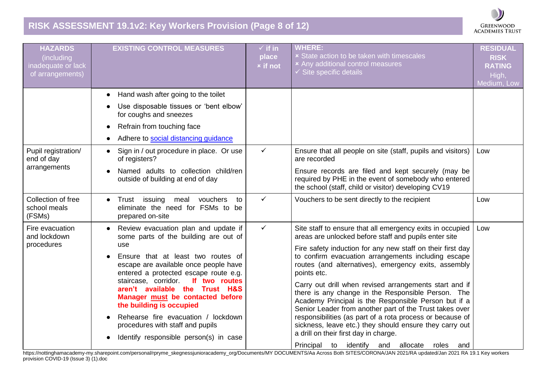# **RISK ASSESSMENT 19.1v2: Key Workers Provision (Page 8 of 12)**

| <b>HAZARDS</b><br>(including<br>inadequate or lack<br>of arrangements) | <b>EXISTING CONTROL MEASURES</b>                                                                                                                                                                                                                                                                                                                                                                                                                                             | $\checkmark$ if in<br>place<br><b>x</b> if not | <b>WHERE:</b><br><b>x</b> State action to be taken with timescales<br><b>*</b> Any additional control measures<br>$\checkmark$ Site specific details                                                                                                                                                                                                                                                                                                                                                                                                                                                                                                                                                                                                                        | <b>RESIDUAL</b><br><b>RISK</b><br><b>RATING</b><br>High,<br>Medium, Low |
|------------------------------------------------------------------------|------------------------------------------------------------------------------------------------------------------------------------------------------------------------------------------------------------------------------------------------------------------------------------------------------------------------------------------------------------------------------------------------------------------------------------------------------------------------------|------------------------------------------------|-----------------------------------------------------------------------------------------------------------------------------------------------------------------------------------------------------------------------------------------------------------------------------------------------------------------------------------------------------------------------------------------------------------------------------------------------------------------------------------------------------------------------------------------------------------------------------------------------------------------------------------------------------------------------------------------------------------------------------------------------------------------------------|-------------------------------------------------------------------------|
|                                                                        | Hand wash after going to the toilet<br>$\bullet$<br>Use disposable tissues or 'bent elbow'<br>for coughs and sneezes<br>Refrain from touching face<br>$\bullet$                                                                                                                                                                                                                                                                                                              |                                                |                                                                                                                                                                                                                                                                                                                                                                                                                                                                                                                                                                                                                                                                                                                                                                             |                                                                         |
| Pupil registration/<br>end of day<br>arrangements                      | Adhere to social distancing guidance<br>Sign in / out procedure in place. Or use<br>of registers?                                                                                                                                                                                                                                                                                                                                                                            | $\checkmark$                                   | Ensure that all people on site (staff, pupils and visitors)<br>are recorded                                                                                                                                                                                                                                                                                                                                                                                                                                                                                                                                                                                                                                                                                                 | Low                                                                     |
|                                                                        | Named adults to collection child/ren<br>outside of building at end of day                                                                                                                                                                                                                                                                                                                                                                                                    |                                                | Ensure records are filed and kept securely (may be<br>required by PHE in the event of somebody who entered<br>the school (staff, child or visitor) developing CV19                                                                                                                                                                                                                                                                                                                                                                                                                                                                                                                                                                                                          |                                                                         |
| Collection of free<br>school meals<br>(FSMs)                           | Trust issuing meal vouchers<br>to<br>eliminate the need for FSMs to be<br>prepared on-site                                                                                                                                                                                                                                                                                                                                                                                   | $\checkmark$                                   | Vouchers to be sent directly to the recipient                                                                                                                                                                                                                                                                                                                                                                                                                                                                                                                                                                                                                                                                                                                               | Low                                                                     |
| Fire evacuation<br>and lockdown<br>procedures                          | Review evacuation plan and update if<br>some parts of the building are out of<br>use<br>Ensure that at least two routes of<br>escape are available once people have<br>entered a protected escape route e.g.<br>staircase, corridor.<br>If two routes<br>aren't available the Trust H&S<br>Manager must be contacted before<br>the building is occupied<br>Rehearse fire evacuation / lockdown<br>procedures with staff and pupils<br>Identify responsible person(s) in case | $\checkmark$                                   | Site staff to ensure that all emergency exits in occupied<br>areas are unlocked before staff and pupils enter site<br>Fire safety induction for any new staff on their first day<br>to confirm evacuation arrangements including escape<br>routes (and alternatives), emergency exits, assembly<br>points etc.<br>Carry out drill when revised arrangements start and if<br>there is any change in the Responsible Person. The<br>Academy Principal is the Responsible Person but if a<br>Senior Leader from another part of the Trust takes over<br>responsibilities (as part of a rota process or because of<br>sickness, leave etc.) they should ensure they carry out<br>a drill on their first day in charge.<br>Principal to identify<br>and allocate<br>roles<br>and | Low                                                                     |

**GREENWOOD ACADEMIES TRUST**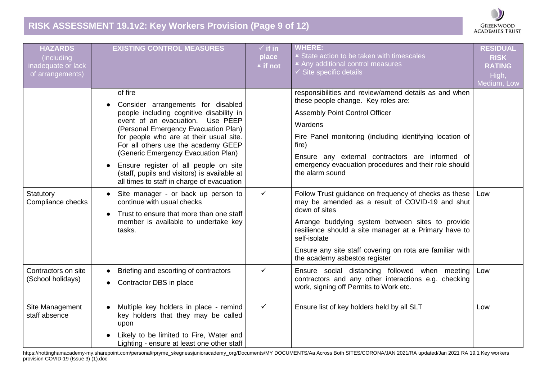# **RISK ASSESSMENT 19.1v2: Key Workers Provision (Page 9 of 12)**



| <b>HAZARDS</b><br>(including<br>inadequate or lack<br>of arrangements) | <b>EXISTING CONTROL MEASURES</b>                                                                                                                                                                                                                                                                                                                                                                                                         | $\checkmark$ if in<br>place<br><b>x</b> if not | <b>WHERE:</b><br><b>x</b> State action to be taken with timescales<br>× Any additional control measures<br>$\checkmark$ Site specific details                                                                                                                                                                                                        | <b>RESIDUAL</b><br><b>RISK</b><br><b>RATING</b><br>High,<br>Medium, Low |
|------------------------------------------------------------------------|------------------------------------------------------------------------------------------------------------------------------------------------------------------------------------------------------------------------------------------------------------------------------------------------------------------------------------------------------------------------------------------------------------------------------------------|------------------------------------------------|------------------------------------------------------------------------------------------------------------------------------------------------------------------------------------------------------------------------------------------------------------------------------------------------------------------------------------------------------|-------------------------------------------------------------------------|
|                                                                        | of fire<br>Consider arrangements for disabled<br>people including cognitive disability in<br>Use PEEP<br>event of an evacuation.<br>(Personal Emergency Evacuation Plan)<br>for people who are at their usual site.<br>For all others use the academy GEEP<br>(Generic Emergency Evacuation Plan)<br>Ensure register of all people on site<br>(staff, pupils and visitors) is available at<br>all times to staff in charge of evacuation |                                                | responsibilities and review/amend details as and when<br>these people change. Key roles are:<br><b>Assembly Point Control Officer</b><br>Wardens<br>Fire Panel monitoring (including identifying location of<br>fire)<br>Ensure any external contractors are informed of<br>emergency evacuation procedures and their role should<br>the alarm sound |                                                                         |
| Statutory<br>Compliance checks                                         | Site manager - or back up person to<br>continue with usual checks<br>Trust to ensure that more than one staff<br>member is available to undertake key<br>tasks.                                                                                                                                                                                                                                                                          | $\checkmark$                                   | Follow Trust guidance on frequency of checks as these<br>may be amended as a result of COVID-19 and shut<br>down of sites<br>Arrange buddying system between sites to provide<br>resilience should a site manager at a Primary have to<br>self-isolate<br>Ensure any site staff covering on rota are familiar with<br>the academy asbestos register  | Low                                                                     |
| Contractors on site<br>(School holidays)                               | Briefing and escorting of contractors<br>Contractor DBS in place                                                                                                                                                                                                                                                                                                                                                                         | $\checkmark$                                   | Ensure social distancing followed when meeting<br>contractors and any other interactions e.g. checking<br>work, signing off Permits to Work etc.                                                                                                                                                                                                     | Low                                                                     |
| Site Management<br>staff absence                                       | Multiple key holders in place - remind<br>key holders that they may be called<br>upon<br>Likely to be limited to Fire, Water and<br>Lighting - ensure at least one other staff                                                                                                                                                                                                                                                           | $\checkmark$                                   | Ensure list of key holders held by all SLT                                                                                                                                                                                                                                                                                                           | Low                                                                     |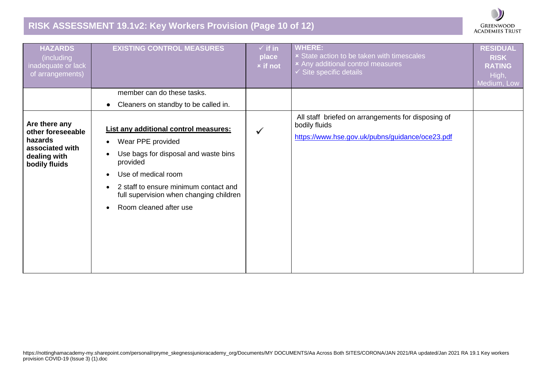# **RISK ASSESSMENT 19.1v2: Key Workers Provision (Page 10 of 12)**

| <b>GREENWOOD</b>       |
|------------------------|
| <b>ACADEMIES TRUST</b> |

| <b>HAZARDS</b><br>(including<br>inadequate or lack<br>of arrangements)                            | <b>EXISTING CONTROL MEASURES</b>                                                                                                                                                                                                                                                                                     | $\checkmark$ if in<br>place<br><b>x</b> if not | <b>WHERE:</b><br><b>x</b> State action to be taken with timescales<br><b>*</b> Any additional control measures<br>$\checkmark$ Site specific details | <b>RESIDUAL</b><br><b>RISK</b><br><b>RATING</b><br>High,<br>Medium, Low |
|---------------------------------------------------------------------------------------------------|----------------------------------------------------------------------------------------------------------------------------------------------------------------------------------------------------------------------------------------------------------------------------------------------------------------------|------------------------------------------------|------------------------------------------------------------------------------------------------------------------------------------------------------|-------------------------------------------------------------------------|
|                                                                                                   | member can do these tasks.                                                                                                                                                                                                                                                                                           |                                                |                                                                                                                                                      |                                                                         |
|                                                                                                   | Cleaners on standby to be called in.<br>$\bullet$                                                                                                                                                                                                                                                                    |                                                |                                                                                                                                                      |                                                                         |
| Are there any<br>other foreseeable<br>hazards<br>associated with<br>dealing with<br>bodily fluids | List any additional control measures:<br>Wear PPE provided<br>$\bullet$<br>Use bags for disposal and waste bins<br>$\bullet$<br>provided<br>Use of medical room<br>$\bullet$<br>2 staff to ensure minimum contact and<br>$\bullet$<br>full supervision when changing children<br>Room cleaned after use<br>$\bullet$ |                                                | All staff briefed on arrangements for disposing of<br>bodily fluids<br>https://www.hse.gov.uk/pubns/guidance/oce23.pdf                               |                                                                         |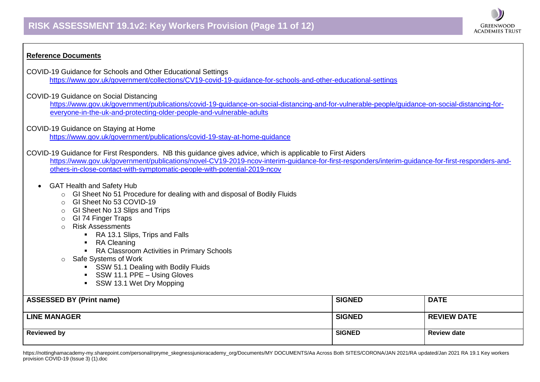

- COVID-19 Guidance for Schools and Other Educational Settings [https://www.gov.uk/government/collections/CV19-covid-19-guidance-for-schools-and-other-educational-settings](https://www.gov.uk/government/collections/coronavirus-covid-19-guidance-for-schools-and-other-educational-settings)
- COVID-19 Guidance on Social Distancing

[https://www.gov.uk/government/publications/covid-19-guidance-on-social-distancing-and-for-vulnerable-people/guidance-on-social-distancing-for](https://www.gov.uk/government/publications/covid-19-guidance-on-social-distancing-and-for-vulnerable-people/guidance-on-social-distancing-for-everyone-in-the-uk-and-protecting-older-people-and-vulnerable-adults)[everyone-in-the-uk-and-protecting-older-people-and-vulnerable-adults](https://www.gov.uk/government/publications/covid-19-guidance-on-social-distancing-and-for-vulnerable-people/guidance-on-social-distancing-for-everyone-in-the-uk-and-protecting-older-people-and-vulnerable-adults)

**GREENWOOD ACADEMIES TRUST** 

COVID-19 Guidance on Staying at Home

<https://www.gov.uk/government/publications/covid-19-stay-at-home-guidance>

COVID-19 Guidance for First Responders. NB this guidance gives advice, which is applicable to First Aiders

[https://www.gov.uk/government/publications/novel-CV19-2019-ncov-interim-guidance-for-first-responders/interim-guidance-for-first-responders-and](https://www.gov.uk/government/publications/novel-coronavirus-2019-ncov-interim-guidance-for-first-responders/interim-guidance-for-first-responders-and-others-in-close-contact-with-symptomatic-people-with-potential-2019-ncov)[others-in-close-contact-with-symptomatic-people-with-potential-2019-ncov](https://www.gov.uk/government/publications/novel-coronavirus-2019-ncov-interim-guidance-for-first-responders/interim-guidance-for-first-responders-and-others-in-close-contact-with-symptomatic-people-with-potential-2019-ncov)

- GAT Health and Safety Hub
	- o GI Sheet No 51 Procedure for dealing with and disposal of Bodily Fluids
	- o GI Sheet No 53 COVID-19
	- o GI Sheet No 13 Slips and Trips
	- **GI 74 Finger Traps**
	- o Risk Assessments
		- RA 13.1 Slips, Trips and Falls
		- RA Cleaning
		- RA Classroom Activities in Primary Schools
	- o Safe Systems of Work
		- **SSW 51.1 Dealing with Bodily Fluids**
		- SSW 11.1 PPE Using Gloves
		- **SSW 13.1 Wet Dry Mopping**

| <b>ASSESSED BY (Print name)</b> | <b>SIGNED</b> | <b>DATE</b>        |
|---------------------------------|---------------|--------------------|
| <b>LINE MANAGER</b>             | <b>SIGNED</b> | <b>REVIEW DATE</b> |
| <b>Reviewed by</b>              | <b>SIGNED</b> | <b>Review date</b> |